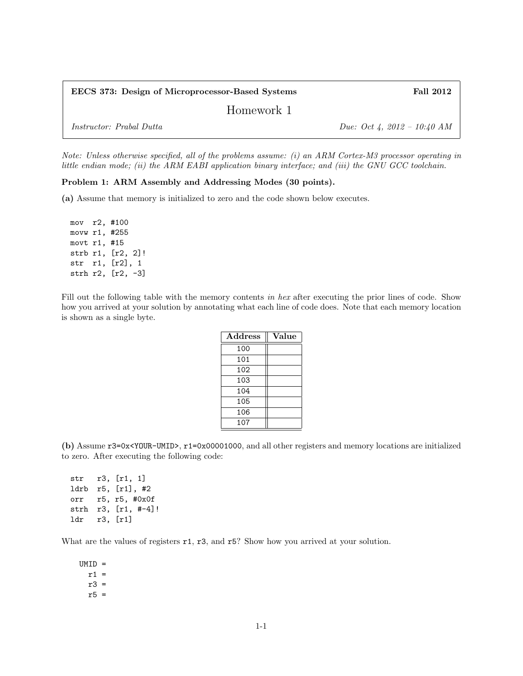| EECS 373: Design of Microprocessor-Based Systems | <b>Fall 2012</b>            |
|--------------------------------------------------|-----------------------------|
| Homework 1                                       |                             |
| <i>Instructor: Prabal Dutta</i>                  | Due: Oct 4, 2012 – 10:40 AM |

Note: Unless otherwise specified, all of the problems assume: (i) an ARM Cortex-M3 processor operating in little endian mode; (ii) the ARM EABI application binary interface; and (iii) the GNU GCC toolchain.

## Problem 1: ARM Assembly and Addressing Modes (30 points).

(a) Assume that memory is initialized to zero and the code shown below executes.

mov r2, #100 movw r1, #255 movt r1, #15 strb r1, [r2, 2]! str r1, [r2], 1 strh r2, [r2, -3]

Fill out the following table with the memory contents in hex after executing the prior lines of code. Show how you arrived at your solution by annotating what each line of code does. Note that each memory location is shown as a single byte.

| Address | Value |
|---------|-------|
| 100     |       |
| 101     |       |
| 102     |       |
| 103     |       |
| 104     |       |
| 105     |       |
| 106     |       |
| 107     |       |

(b) Assume r3=0x<YOUR-UMID>, r1=0x00001000, and all other registers and memory locations are initialized to zero. After executing the following code:

str r3, [r1, 1] ldrb r5, [r1], #2 orr r5, r5, #0x0f strh r3, [r1, #-4]! ldr r3, [r1]

What are the values of registers  $r1$ ,  $r3$ , and  $r5$ ? Show how you arrived at your solution.

UMID =  $r1 =$ r3 = r5 =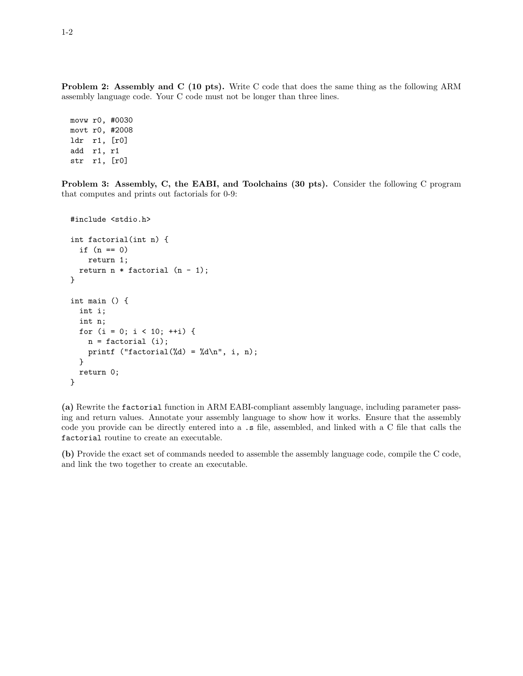Problem 2: Assembly and C (10 pts). Write C code that does the same thing as the following ARM assembly language code. Your C code must not be longer than three lines.

movw r0, #0030 movt r0, #2008 ldr r1, [r0] add r1, r1 str r1, [r0]

Problem 3: Assembly, C, the EABI, and Toolchains (30 pts). Consider the following C program that computes and prints out factorials for 0-9:

```
#include <stdio.h>
int factorial(int n) {
 if (n == 0)return 1;
 return n * factorial (n - 1);
}
int main () {
 int i;
 int n;
 for (i = 0; i < 10; ++i) {
    n = factorial (i);
    printf ("factorial(%d) = %d\n", i, n);
 }
 return 0;
}
```
(a) Rewrite the factorial function in ARM EABI-compliant assembly language, including parameter passing and return values. Annotate your assembly language to show how it works. Ensure that the assembly code you provide can be directly entered into a .s file, assembled, and linked with a C file that calls the factorial routine to create an executable.

(b) Provide the exact set of commands needed to assemble the assembly language code, compile the C code, and link the two together to create an executable.